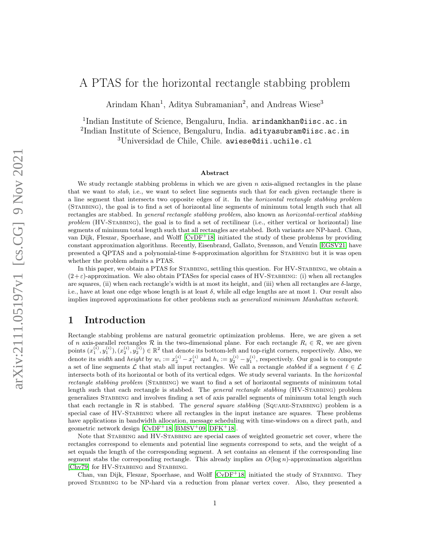# A PTAS for the horizontal rectangle stabbing problem

Arindam Khan<sup>1</sup>, Aditya Subramanian<sup>2</sup>, and Andreas Wiese<sup>3</sup>

<sup>1</sup>Indian Institute of Science, Bengaluru, India. arindamkhan@iisc.ac.in <sup>2</sup>Indian Institute of Science, Bengaluru, India. adityasubram@iisc.ac.in <sup>3</sup>Universidad de Chile, Chile. awiese@dii.uchile.cl

#### Abstract

We study rectangle stabbing problems in which we are given  $n$  axis-aligned rectangles in the plane that we want to *stab*, i.e., we want to select line segments such that for each given rectangle there is a line segment that intersects two opposite edges of it. In the horizontal rectangle stabbing problem (Stabbing), the goal is to find a set of horizontal line segments of minimum total length such that all rectangles are stabbed. In general rectangle stabbing problem, also known as horizontal-vertical stabbing problem  $(HV-STABBING)$ , the goal is to find a set of rectilinear (i.e., either vertical or horizontal) line segments of minimum total length such that all rectangles are stabbed. Both variants are NP-hard. Chan, van Dijk, Fleszar, Spoerhase, and Wolff [\[CvDF](#page-13-0)<sup>+</sup>18] initiated the study of these problems by providing constant approximation algorithms. Recently, Eisenbrand, Gallato, Svensson, and Venzin [\[EGSV21\]](#page-14-0) have presented a QPTAS and a polynomial-time 8-approximation algorithm for Stabbing but it is was open whether the problem admits a PTAS.

In this paper, we obtain a PTAS for STABBING, settling this question. For HV-STABBING, we obtain a  $(2+\varepsilon)$ -approximation. We also obtain PTASes for special cases of HV-STABBING: (i) when all rectangles are squares, (ii) when each rectangle's width is at most its height, and (iii) when all rectangles are  $\delta$ -large, i.e., have at least one edge whose length is at least  $\delta$ , while all edge lengths are at most 1. Our result also implies improved approximations for other problems such as generalized minimum Manhattan network.

# 1 Introduction

Rectangle stabbing problems are natural geometric optimization problems. Here, we are given a set of n axis-parallel rectangles R in the two-dimensional plane. For each rectangle  $R_i \in \mathcal{R}$ , we are given points  $(x_1^{(i)}, y_1^{(i)}), (x_2^{(i)}, y_2^{(i)}) \in \mathbb{R}^2$  that denote its bottom-left and top-right corners, respectively. Also, we denote its *width* and *height* by  $w_i := x_2^{(i)} - x_1^{(i)}$  and  $h_i := y_2^{(i)} - y_1^{(i)}$ , respectively. Our goal is to compute a set of line segments L that stab all input rectangles. We call a rectangle stabbed if a segment  $\ell \in \mathcal{L}$ intersects both of its horizontal or both of its vertical edges. We study several variants. In the horizontal rectangle stabbing problem (STABBING) we want to find a set of horizontal segments of minimum total length such that each rectangle is stabbed. The *general rectangle stabbing* (HV-STABBING) problem generalizes Stabbing and involves finding a set of axis parallel segments of minimum total length such that each rectangle in  $R$  is stabbed. The *general square stabbing* (SQUARE-STABBING) problem is a special case of HV-STABBING where all rectangles in the input instance are squares. These problems have applications in bandwidth allocation, message scheduling with time-windows on a direct path, and geometric network design  $[CvDF<sup>+</sup>18$  $[CvDF<sup>+</sup>18$ , [BMSV](#page-13-1)<sup>+</sup>09, [DFK](#page-13-2)<sup>+</sup>18].

Note that Stabbing and HV-Stabbing are special cases of weighted geometric set cover, where the rectangles correspond to elements and potential line segments correspond to sets, and the weight of a set equals the length of the corresponding segment. A set contains an element if the corresponding line segment stabs the corresponding rectangle. This already implies an  $O(\log n)$ -approximation algorithm [\[Chv79\]](#page-13-3) for HV-STABBING and STABBING.

Chan, van Dijk, Fleszar, Spoerhase, and Wolff  $[CVDF+18]$  initiated the study of STABBING. They proved Stabbing to be NP-hard via a reduction from planar vertex cover. Also, they presented a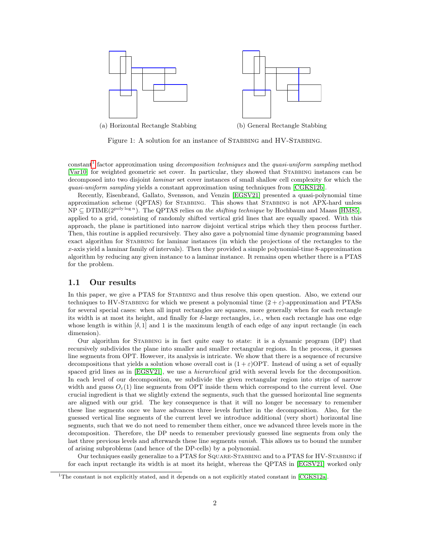

Figure 1: A solution for an instance of STABBING and HV-STABBING.

constant<sup>[1](#page-1-0)</sup> factor approximation using *decomposition techniques* and the *quasi-uniform sampling* method [\[Var10\]](#page-14-1) for weighted geometric set cover. In particular, they showed that STABBING instances can be decomposed into two disjoint laminar set cover instances of small shallow cell complexity for which the quasi-uniform sampling yields a constant approximation using techniques from [\[CGKS12b\]](#page-13-4).

Recently, Eisenbrand, Gallato, Svensson, and Venzin [\[EGSV21\]](#page-14-0) presented a quasi-polynomial time approximation scheme (QPTAS) for STABBING. This shows that STABBING is not APX-hard unless  $NP \subseteq DTIME(2^{poly \log n})$ . The QPTAS relies on the *shifting technique* by Hochbaum and Maass [\[HM85\]](#page-14-2), applied to a grid, consisting of randomly shifted vertical grid lines that are equally spaced. With this approach, the plane is partitioned into narrow disjoint vertical strips which they then process further. Then, this routine is applied recursively. They also gave a polynomial time dynamic programming based exact algorithm for Stabbing for laminar instances (in which the projections of the rectangles to the x-axis yield a laminar family of intervals). Then they provided a simple polynomial-time 8-approximation algorithm by reducing any given instance to a laminar instance. It remains open whether there is a PTAS for the problem.

#### 1.1 Our results

In this paper, we give a PTAS for STABBING and thus resolve this open question. Also, we extend our techniques to HV-STABBING for which we present a polynomial time  $(2 + \varepsilon)$ -approximation and PTASs for several special cases: when all input rectangles are squares, more generally when for each rectangle its width is at most its height, and finally for  $\delta$ -large rectangles, i.e., when each rectangle has one edge whose length is within  $[\delta, 1]$  and 1 is the maximum length of each edge of any input rectangle (in each dimension).

Our algorithm for Stabbing is in fact quite easy to state: it is a dynamic program (DP) that recursively subdivides the plane into smaller and smaller rectangular regions. In the process, it guesses line segments from OPT. However, its analysis is intricate. We show that there is a sequence of recursive decompositions that yields a solution whose overall cost is  $(1 + \varepsilon)$ OPT. Instead of using a set of equally spaced grid lines as in [\[EGSV21\]](#page-14-0), we use a *hierarchical* grid with several levels for the decomposition. In each level of our decomposition, we subdivide the given rectangular region into strips of narrow width and guess  $O_{\varepsilon}(1)$  line segments from OPT inside them which correspond to the current level. One crucial ingredient is that we slightly extend the segments, such that the guessed horizontal line segments are aligned with our grid. The key consequence is that it will no longer be necessary to remember these line segments once we have advances three levels further in the decomposition. Also, for the guessed vertical line segments of the current level we introduce additional (very short) horizontal line segments, such that we do not need to remember them either, once we advanced three levels more in the decomposition. Therefore, the DP needs to remember previously guessed line segments from only the last three previous levels and afterwards these line segments vanish. This allows us to bound the number of arising subproblems (and hence of the DP-cells) by a polynomial.

Our techniques easily generalize to a PTAS for Square-Stabbing and to a PTAS for HV-Stabbing if for each input rectangle its width is at most its height, whereas the QPTAS in [\[EGSV21\]](#page-14-0) worked only

<span id="page-1-0"></span><sup>1</sup>The constant is not explicitly stated, and it depends on a not explicitly stated constant in [\[CGKS12a\]](#page-13-5).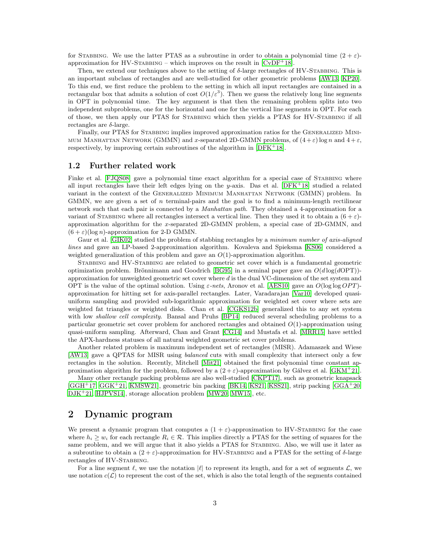for STABBING. We use the latter PTAS as a subroutine in order to obtain a polynomial time  $(2 + \varepsilon)$ approximation for HV-STABBING – which improves on the result in  $[CvDF^+18]$  $[CvDF^+18]$ .

Then, we extend our techniques above to the setting of  $\delta$ -large rectangles of HV-STABBING. This is an important subclass of rectangles and are well-studied for other geometric problems [\[AW13,](#page-13-6) [KP20\]](#page-14-3). To this end, we first reduce the problem to the setting in which all input rectangles are contained in a rectangular box that admits a solution of cost  $O(1/\varepsilon^3)$ . Then we guess the relatively long line segments in OPT in polynomial time. The key argument is that then the remaining problem splits into two independent subproblems, one for the horizontal and one for the vertical line segments in OPT. For each of those, we then apply our PTAS for Stabbing which then yields a PTAS for HV-Stabbing if all rectangles are δ-large.

Finally, our PTAS for STABBING implies improved approximation ratios for the GENERALIZED MINI-MUM MANHATTAN NETWORK (GMMN) and x-separated 2D-GMMN problems, of  $(4 + \varepsilon) \log n$  and  $4 + \varepsilon$ , respectively, by improving certain subroutines of the algorithm in  $[DFK^+18]$  $[DFK^+18]$ .

#### 1.2 Further related work

Finke et al. [\[FJQS08\]](#page-14-4) gave a polynomial time exact algorithm for a special case of STABBING where all input rectangles have their left edges lying on the y-axis. Das et al.  $[DFK^+18]$  $[DFK^+18]$  studied a related variant in the context of the Generalized Minimum Manhattan Network (GMMN) problem. In GMMN, we are given a set of *n* terminal-pairs and the goal is to find a minimum-length rectilinear network such that each pair is connected by a Manhattan path. They obtained a 4-approximation for a variant of STABBING where all rectangles intersect a vertical line. Then they used it to obtain a  $(6 + \varepsilon)$ approximation algorithm for the x-separated 2D-GMMN problem, a special case of 2D-GMMN, and  $(6 + \varepsilon)(\log n)$ -approximation for 2-D GMMN.

Gaur et al. [\[GIK02\]](#page-14-5) studied the problem of stabbing rectangles by a minimum number of axis-aligned lines and gave an LP-based 2-approximation algorithm. Kovaleva and Spieksma [\[KS06\]](#page-14-6) considered a weighted generalization of this problem and gave an  $O(1)$ -approximation algorithm.

Stabbing and HV-Stabbing are related to geometric set cover which is a fundamental geometric optimization problem. Brönnimann and Goodrich [\[BG95\]](#page-13-7) in a seminal paper gave an  $O(d \log(dOPT))$ approximation for unweighted geometric set cover where d is the dual VC-dimension of the set system and OPT is the value of the optimal solution. Using  $\varepsilon$ -nets, Aronov et al. [\[AES10\]](#page-13-8) gave an  $O(\log \log OPT)$ approximation for hitting set for axis-parallel rectangles. Later, Varadarajan [\[Var10\]](#page-14-1) developed quasiuniform sampling and provided sub-logarithmic approximation for weighted set cover where sets are weighted fat triangles or weighted disks. Chan et al. [\[CGKS12b\]](#page-13-4) generalized this to any set system with low *shallow cell complexity*. Bansal and Pruhs [\[BP14\]](#page-13-9) reduced several scheduling problems to a particular geometric set cover problem for anchored rectangles and obtained  $O(1)$ -approximation using quasi-uniform sampling. Afterward, Chan and Grant [\[CG14\]](#page-13-10) and Mustafa et al. [\[MRR15\]](#page-14-7) have settled the APX-hardness statuses of all natural weighted geometric set cover problems.

Another related problem is maximum independent set of rectangles (MISR). Adamaszek and Wiese [\[AW13\]](#page-13-6) gave a QPTAS for MISR using balanced cuts with small complexity that intersect only a few rectangles in the solution. Recently, Mitchell [\[Mit21\]](#page-14-8) obtained the first polynomial time constant approximation algorithm for the problem, followed by a  $(2 + \varepsilon)$ -approximation by Gálvez et al. [\[GKM](#page-14-9)<sup>+</sup>21].

Many other rectangle packing problems are also well-studied [\[CKPT17\]](#page-13-11), such as geometric knapsack [\[GGH](#page-14-10)<sup>+</sup>17, [GGK](#page-14-11)<sup>+</sup>21, [KMSW21\]](#page-14-12), geometric bin packing [\[BK14,](#page-13-12) [KS21,](#page-14-13) [KSS21\]](#page-14-14), strip packing [\[GGA](#page-14-15)<sup>+</sup>20, [DJK](#page-14-16)<sup>+</sup>21, [HJPVS14\]](#page-14-17), storage allocation problem [\[MW20,](#page-14-18) [MW15\]](#page-14-19), etc.

# 2 Dynamic program

We present a dynamic program that computes a  $(1 + \varepsilon)$ -approximation to HV-STABBING for the case where  $h_i \geq w_i$  for each rectangle  $R_i \in \mathcal{R}$ . This implies directly a PTAS for the setting of squares for the same problem, and we will argue that it also yields a PTAS for STABBING. Also, we will use it later as a subroutine to obtain a  $(2 + \varepsilon)$ -approximation for HV-STABBING and a PTAS for the setting of  $\delta$ -large rectangles of HV-STABBING.

For a line segment  $\ell$ , we use the notation  $|\ell|$  to represent its length, and for a set of segments  $\mathcal{L}$ , we use notation  $c(\mathcal{L})$  to represent the cost of the set, which is also the total length of the segments contained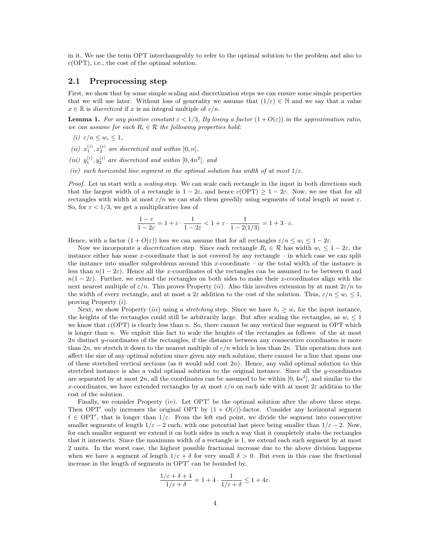in it. We use the term OPT interchangeably to refer to the optimal solution to the problem and also to  $c(OPT)$ , i.e., the cost of the optimal solution.

#### 2.1 Preprocessing step

First, we show that by some simple scaling and discretization steps we can ensure some simple properties that we will use later. Without loss of generality we assume that  $(1/\varepsilon) \in \mathbb{N}$  and we say that a value  $x \in \mathbb{R}$  is discretized if x is an integral multiple of  $\varepsilon/n$ .

<span id="page-3-0"></span>**Lemma 1.** For any positive constant  $\varepsilon < 1/3$ , By losing a factor  $(1 + O(\varepsilon))$  in the approximation ratio, we can assume for each  $R_i \in \mathcal{R}$  the following properties hold:

- (i)  $\varepsilon/n \leq w_i \leq 1$ ,
- (ii)  $x_1^{(i)}$ ,  $x_2^{(i)}$  are discretized and within  $[0, n]$ ,
- (iii)  $y_1^{(i)}$ ,  $y_2^{(i)}$  are discretized and within  $[0, 4n^2]$ , and
- (iv) each horizontal line segment in the optimal solution has width of at most  $1/\varepsilon$ .

Proof. Let us start with a *scaling* step. We can scale each rectangle in the input in both directions such that the largest width of a rectangle is  $1 - 2\varepsilon$ , and hence  $c(OPT) \geq 1 - 2\varepsilon$ . Now, we see that for all rectangles with width at most  $\varepsilon/n$  we can stab them greedily using segments of total length at most  $\varepsilon$ . So, for  $\varepsilon < 1/3$ , we get a multiplicative loss of

$$
\frac{1-\varepsilon}{1-2\varepsilon}=1+\varepsilon\cdot\frac{1}{1-2\varepsilon}<1+\varepsilon\cdot\frac{1}{1-2(1/3)}=1+3\cdot\varepsilon.
$$

Hence, with a factor  $(1 + O(\varepsilon))$  loss we can assume that for all rectangles  $\varepsilon/n \leq w_i \leq 1-2\varepsilon$ .

Now we incorporate a *discretization* step. Since each rectangle  $R_i \in \mathcal{R}$  has width  $w_i \leq 1-2\varepsilon$ , the instance either has some x-coordinate that is not covered by any rectangle – in which case we can split the instance into smaller subproblems around this x-coordinate – or the total width of the instance is less than  $n(1 - 2\varepsilon)$ . Hence all the x-coordinates of the rectangles can be assumed to be between 0 and  $n(1-2\varepsilon)$ . Further, we extend the rectangles on both sides to make their x-coordinates align with the next nearest multiple of  $\varepsilon/n$ . This proves Property (ii). Also this involves extension by at most  $2\varepsilon/n$  to the width of every rectangle, and at most a 2 $\varepsilon$  addition to the cost of the solution. Thus,  $\varepsilon/n \leq w_i \leq 1$ , proving Property (i).

Next, we show Property *(iii)* using a *stretching* step. Since we have  $h_i \geq w_i$  for the input instance, the heights of the rectangles could still be arbitrarily large. But after scaling the rectangles, as  $w_i \leq 1$ we know that  $c(OPT)$  is clearly less than n. So, there cannot be any vertical line segment in OPT which is longer than n. We exploit this fact to scale the heights of the rectangles as follows: of the at most 2n distinct y-coordinates of the rectangles, if the distance between any consecutive coordinates is more than 2n, we stretch it down to the nearest multiple of  $\varepsilon/n$  which is less than 2n. This operation does not affect the size of any optimal solution since given any such solution, there cannot be a line that spans one of these stretched vertical sections (as it would add cost  $2n$ ). Hence, any valid optimal solution to this stretched instance is also a valid optimal solution to the original instance. Since all the y-coordinates are separated by at most  $2n$ , all the coordinates can be assumed to be within  $[0, 4n^2]$ , and similar to the x-coordinates, we have extended rectangles by at most  $\varepsilon/n$  on each side with at most  $2\varepsilon$  addition to the cost of the solution.

Finally, we consider Property (iv). Let  $OPT'$  be the optimal solution after the above three steps. Then OPT' only increases the original OPT by  $(1 + O(\varepsilon))$ -factor. Consider any horizontal segment  $\ell \in \text{OPT}'$ , that is longer than  $1/\varepsilon$ . From the left end point, we divide the segment into consecutive smaller segments of length  $1/\varepsilon - 2$  each, with one potential last piece being smaller than  $1/\varepsilon - 2$ . Now, for each smaller segment we extend it on both sides in such a way that it completely stabs the rectangles that it intersects. Since the maximum width of a rectangle is 1, we extend each such segment by at most 2 units. In the worst case, the highest possible fractional increase due to the above division happens when we have a segment of length  $1/\varepsilon + \delta$  for very small  $\delta > 0$ . But even in this case the fractional increase in the length of segments in OPT' can be bounded by,

$$
\frac{1/\varepsilon + \delta + 4}{1/\varepsilon + \delta} = 1 + 4 \cdot \frac{1}{1/\varepsilon + \delta} \le 1 + 4\varepsilon.
$$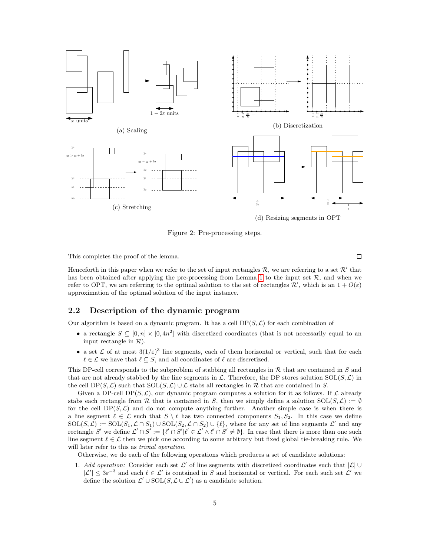

Figure 2: Pre-processing steps.

 $\Box$ 

This completes the proof of the lemma.

Henceforth in this paper when we refer to the set of input rectangles R, we are referring to a set R' that has been obtained after applying the pre-processing from Lemma [1](#page-3-0) to the input set  $\mathcal{R}$ , and when we refer to OPT, we are referring to the optimal solution to the set of rectangles  $\mathcal{R}'$ , which is an  $1 + O(\varepsilon)$ approximation of the optimal solution of the input instance.

#### <span id="page-4-0"></span>2.2 Description of the dynamic program

Our algorithm is based on a dynamic program. It has a cell  $DP(S, \mathcal{L})$  for each combination of

- a rectangle  $S \subseteq [0, n] \times [0, 4n^2]$  with discretized coordinates (that is not necessarily equal to an input rectangle in  $\mathcal{R}$ ).
- a set  $\mathcal L$  of at most  $3(1/\varepsilon)^3$  line segments, each of them horizontal or vertical, such that for each  $\ell \in \mathcal{L}$  we have that  $\ell \subseteq S$ , and all coordinates of  $\ell$  are discretized.

This DP-cell corresponds to the subproblem of stabbing all rectangles in  $R$  that are contained in  $S$  and that are not already stabbed by the line segments in  $\mathcal L$ . Therefore, the DP stores solution  $SOL(S, \mathcal L)$  in the cell  $DP(S, \mathcal{L})$  such that  $SOL(S, \mathcal{L}) \cup \mathcal{L}$  stabs all rectangles in R that are contained in S.

Given a DP-cell DP( $S, \mathcal{L}$ ), our dynamic program computes a solution for it as follows. If  $\mathcal{L}$  already stabs each rectangle from R that is contained in S, then we simply define a solution  $SOL(S, \mathcal{L}) := \emptyset$ for the cell  $DP(S, \mathcal{L})$  and do not compute anything further. Another simple case is when there is a line segment  $\ell \in \mathcal{L}$  such that  $S \setminus \ell$  has two connected components  $S_1, S_2$ . In this case we define  $SOL(S, \mathcal{L}) := SOL(S_1, \mathcal{L} \cap S_1) \cup SOL(S_2, \mathcal{L} \cap S_2) \cup {\ell},$  where for any set of line segments  $\mathcal{L}'$  and any rectangle S' we define  $\mathcal{L}' \cap S' := \{ \ell' \cap S' | \ell' \in \mathcal{L}' \land \ell' \cap S' \neq \emptyset \}.$  In case that there is more than one such line segment  $\ell \in \mathcal{L}$  then we pick one according to some arbitrary but fixed global tie-breaking rule. We will later refer to this as *trivial operation*.

Otherwise, we do each of the following operations which produces a set of candidate solutions:

1. Add operation: Consider each set  $\mathcal{L}'$  of line segments with discretized coordinates such that  $|\mathcal{L}| \cup$  $|\mathcal{L}'| \leq 3\varepsilon^{-3}$  and each  $\ell \in \mathcal{L}'$  is contained in S and horizontal or vertical. For each such set  $\mathcal{L}'$  we define the solution  $\mathcal{L}' \cup \text{SOL}(S, \mathcal{L} \cup \mathcal{L}')$  as a candidate solution.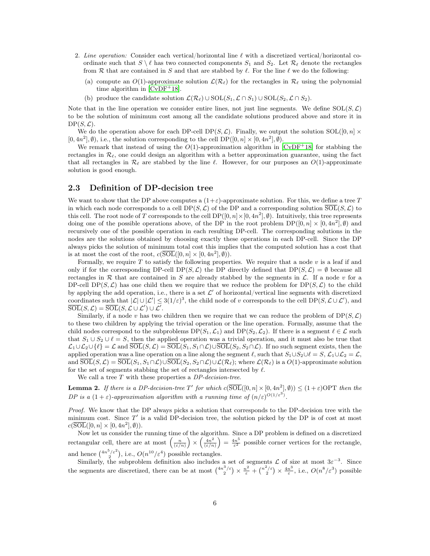- 2. Line operation: Consider each vertical/horizontal line  $\ell$  with a discretized vertical/horizontal coordinate such that  $S \setminus \ell$  has two connected components  $S_1$  and  $S_2$ . Let  $\mathcal{R}_{\ell}$  denote the rectangles from R that are contained in S and that are stabbed by  $\ell$ . For the line  $\ell$  we do the following:
	- (a) compute an  $O(1)$ -approximate solution  $\mathcal{L}(\mathcal{R}_\ell)$  for the rectangles in  $\mathcal{R}_\ell$  using the polynomial time algorithm in  $[CvDF<sup>+</sup>18]$  $[CvDF<sup>+</sup>18]$ .
	- (b) produce the candidate solution  $\mathcal{L}(\mathcal{R}_\ell) \cup \text{SOL}(S_1, \mathcal{L} \cap S_1) \cup \text{SOL}(S_2, \mathcal{L} \cap S_2).$

Note that in the line operation we consider entire lines, not just line segments. We define  $SOL(S, \mathcal{L})$ to be the solution of minimum cost among all the candidate solutions produced above and store it in  $DP(S, \mathcal{L}).$ 

We do the operation above for each DP-cell DP( $S, \mathcal{L}$ ). Finally, we output the solution SOL( $[0, n] \times$  $[0, 4n^2], \emptyset$ , i.e., the solution corresponding to the cell DP( $[0, n] \times [0, 4n^2], \emptyset$ ).

We remark that instead of using the  $O(1)$ -approximation algorithm in  $\text{[CvDF}^+18]$  $\text{[CvDF}^+18]$  $\text{[CvDF}^+18]$  for stabbing the rectangles in  $\mathcal{R}_{\ell}$ , one could design an algorithm with a better approximation guarantee, using the fact that all rectangles in  $\mathcal{R}_\ell$  are stabbed by the line  $\ell$ . However, for our purposes an  $O(1)$ -approximate solution is good enough.

#### 2.3 Definition of DP-decision tree

We want to show that the DP above computes a  $(1+\varepsilon)$ -approximate solution. For this, we define a tree T in which each node corresponds to a cell  $DP(S, \mathcal{L})$  of the DP and a corresponding solution  $\overline{SOL}(S, \mathcal{L})$  to this cell. The root node of T corresponds to the cell  $DP([0, n] \times [0, 4n^2], \emptyset)$ . Intuitively, this tree represents doing one of the possible operations above, of the DP in the root problem  $DP([0, n] \times [0, 4n^2], \emptyset)$  and recursively one of the possible operation in each resulting DP-cell. The corresponding solutions in the nodes are the solutions obtained by choosing exactly these operations in each DP-cell. Since the DP always picks the solution of minimum total cost this implies that the computed solution has a cost that is at most the cost of the root,  $c(\overline{SOL}([0, n] \times [0, 4n^2], \emptyset)).$ 

Formally, we require  $T$  to satisfy the following properties. We require that a node  $v$  is a leaf if and only if for the corresponding DP-cell DP(S, L) the DP directly defined that  $DP(S, \mathcal{L}) = \emptyset$  because all rectangles in  $R$  that are contained in S are already stabbed by the segments in  $\mathcal{L}$ . If a node v for a DP-cell DP(S, L) has one child then we require that we reduce the problem for DP(S, L) to the child by applying the add operation, i.e., there is a set  $\mathcal L'$  of horizontal/vertical line segments with discretized coordinates such that  $|\mathcal{L}| \cup |\mathcal{L}'| \leq 3(1/\varepsilon)^3$ , the child node of v corresponds to the cell DP( $S, \mathcal{L} \cup \mathcal{L}'$ ), and  $\overline{\mathrm{SOL}}(S,\mathcal{L}) = \overline{\mathrm{SOL}}(S,\mathcal{L} \cup \mathcal{L}') \cup \mathcal{L}'.$ 

Similarly, if a node v has two children then we require that we can reduce the problem of  $DP(S, \mathcal{L})$ to these two children by applying the trivial operation or the line operation. Formally, assume that the child nodes correspond to the subproblems  $DP(S_1, \mathcal{L}_1)$  and  $DP(S_2, \mathcal{L}_2)$ . If there is a segment  $\ell \in \mathcal{L}$  such that  $S_1 \cup S_2 \cup \ell = S$ , then the applied operation was a trivial operation, and it must also be true that  $\mathcal{L}_1 \cup \mathcal{L}_2 \cup \{\ell\} = \mathcal{L}$  and  $\overline{SOL}(S, \mathcal{L}) = \overline{SOL}(S_1, S_1 \cap \mathcal{L}) \cup \overline{SOL}(S_2, S_2 \cap \mathcal{L})$ . If no such segment exists, then the applied operation was a line operation on a line along the segment  $\ell$ , such that  $S_1 \cup S_2 \cup \ell = S$ ,  $\mathcal{L}_1 \cup \mathcal{L}_2 = \mathcal{L}$ , and  $\overline{\text{SOL}}(S, \mathcal{L}) = \overline{\text{SOL}}(S_1, S_1 \cap \mathcal{L}) \cup \overline{\text{SOL}}(S_2, S_2 \cap \mathcal{L}) \cup \mathcal{L}(\mathcal{R}_\ell)$ ; where  $\mathcal{L}(\mathcal{R}_\ell)$  is a  $O(1)$ -approximate solution for the set of segments stabbing the set of rectangles intersected by  $\ell$ .

We call a tree  $T$  with these properties a  $DP\text{-}decision\text{-}tree$ .

<span id="page-5-0"></span>**Lemma 2.** If there is a DP-decision-tree T' for which  $c(\overline{SOL}([0, n] \times [0, 4n^2], \emptyset)) \leq (1 + \varepsilon) \text{OPT}$  then the DP is a  $(1+\varepsilon)$ -approximation algorithm with a running time of  $(n/\varepsilon)^{O(1/\varepsilon^3)}$ .

Proof. We know that the DP always picks a solution that corresponds to the DP-decision tree with the minimum cost. Since  $T'$  is a valid DP-decision tree, the solution picked by the DP is of cost at most  $c(\overline{\text{SOL}}([0, n] \times [0, 4n^2], \emptyset)).$ 

Now let us consider the running time of the algorithm. Since a DP problem is defined on a discretized rectangular cell, there are at most  $\left(\frac{n}{(\varepsilon/n)}\right) \times \left(\frac{4n^2}{(\varepsilon/n)}\right)$  $\frac{4n^2}{(\varepsilon/n)}$  =  $\frac{4n^5}{\varepsilon^2}$  possible corner vertices for the rectangle, and hence  $\binom{4n^5/\varepsilon^2}{2}$ , i.e.,  $O(n^{10}/\varepsilon^4)$  possible rectangles.

Similarly, the subproblem definition also includes a set of segments  $\mathcal L$  of size at most  $3\varepsilon^{-3}$ . Since the segments are discretized, there can be at most  $\binom{4n^3/\varepsilon}{2} \times \frac{n^2}{\varepsilon} + \binom{n^2/\varepsilon}{2} \times \frac{4n^3}{\varepsilon}$  $\frac{n^3}{\varepsilon}$ , i.e.,  $O(n^8/\varepsilon^3)$  possible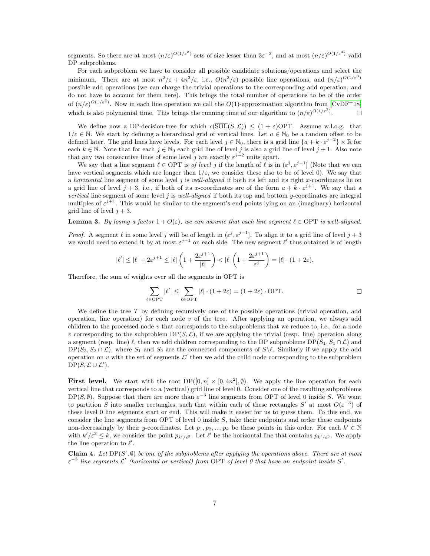segments. So there are at most  $(n/\varepsilon)^{O(1/\varepsilon^3)}$  sets of size lesser than  $3\varepsilon^{-3}$ , and at most  $(n/\varepsilon)^{O(1/\varepsilon^3)}$  valid DP subproblems.

For each subproblem we have to consider all possible candidate solutions/operations and select the minimum. There are at most  $n^2/\varepsilon + 4n^3/\varepsilon$ , i.e.,  $O(n^3/\varepsilon)$  possible line operations, and  $(n/\varepsilon)^{O(1/\varepsilon^3)}$ possible add operations (we can charge the trivial operations to the corresponding add operation, and do not have to account for them here). This brings the total number of operations to be of the order of  $(n/\varepsilon)^{O(1/\varepsilon^3)}$ . Now in each line operation we call the  $O(1)$ -approximation algorithm from  $[\text{CvDF}^+18]$ which is also polynomial time. This brings the running time of our algorithm to  $(n/\varepsilon)^{O(1/\varepsilon^3)}$ .  $\Box$ 

We define now a DP-decision-tree for which  $c(\overline{SOL}(S,\mathcal{L})) \leq (1+\varepsilon) \text{OPT}$ . Assume w.l.o.g. that  $1/\varepsilon \in \mathbb{N}$ . We start by defining a hierarchical grid of vertical lines. Let  $a \in \mathbb{N}_0$  be a random offset to be defined later. The grid lines have levels. For each level  $j \in \mathbb{N}_0$ , there is a grid line  $\{a + k \cdot \varepsilon^{j-2}\} \times \mathbb{R}$  for each  $k \in \mathbb{N}$ . Note that for each  $j \in \mathbb{N}_0$  each grid line of level j is also a grid line of level  $j + 1$ . Also note that any two consecutive lines of some level j are exactly  $\varepsilon^{j-2}$  units apart.

We say that a line segment  $\ell \in \text{OPT}$  is of level j if the length of  $\ell$  is in  $(\varepsilon^j, \varepsilon^{j-1}]$  (Note that we can have vertical segments which are longer then  $1/\varepsilon$ , we consider these also to be of level 0). We say that a horizontal line segment of some level j is well-aligned if both its left and its right x-coordinates lie on a grid line of level  $j + 3$ , i.e., if both of its x-coordinates are of the form  $a + k \cdot \varepsilon^{j+1}$ . We say that a vertical line segment of some level  $j$  is well-aligned if both its top and bottom y-coordinates are integral multiples of  $\varepsilon^{j+1}$ . This would be similar to the segment's end points lying on an (imaginary) horizontal grid line of level  $j + 3$ .

**Lemma 3.** By losing a factor  $1 + O(\varepsilon)$ , we can assume that each line segment  $\ell \in \text{OPT}$  is well-aligned.

*Proof.* A segment  $\ell$  in some level j will be of length in  $(\varepsilon^j, \varepsilon^{j-1}]$ . To align it to a grid line of level  $j+3$ we would need to extend it by at most  $\varepsilon^{j+1}$  on each side. The new segment  $\ell'$  thus obtained is of length

$$
|\ell'| \le |\ell| + 2\varepsilon^{j+1} \le |\ell| \left( 1 + \frac{2\varepsilon^{j+1}}{|\ell|} \right) < |\ell| \left( 1 + \frac{2\varepsilon^{j+1}}{\varepsilon^j} \right) = |\ell| \cdot (1 + 2\varepsilon).
$$

Therefore, the sum of weights over all the segments in OPT is

$$
\sum_{\ell \in \text{OPT}} |\ell'| \le \sum_{\ell \in \text{OPT}} |\ell| \cdot (1 + 2\varepsilon) = (1 + 2\varepsilon) \cdot \text{OPT.}
$$

We define the tree T by defining recursively one of the possible operations (trivial operation, add operation, line operation) for each node  $v$  of the tree. After applying an operation, we always add children to the processed node  $v$  that corresponds to the subproblems that we reduce to, i.e., for a node v corresponding to the subproblem  $DP(S, \mathcal{L})$ , if we are applying the trivial (resp. line) operation along a segment (resp. line)  $\ell$ , then we add children corresponding to the DP subproblems DP( $S_1, S_1 \cap \mathcal{L}$ ) and  $DP(S_2, S_2 \cap \mathcal{L})$ , where  $S_1$  and  $S_2$  are the connected components of  $S \backslash \ell$ . Similarly if we apply the add operation on v with the set of segments  $\mathcal{L}'$  then we add the child node corresponding to the subproblem  $DP(S, \mathcal{L} \cup \mathcal{L}').$ 

**First level.** We start with the root  $DP([0, n] \times [0, 4n^2], \emptyset)$ . We apply the line operation for each vertical line that corresponds to a (vertical) grid line of level 0. Consider one of the resulting subproblems  $DP(S, \emptyset)$ . Suppose that there are more than  $\varepsilon^{-3}$  line segments from OPT of level 0 inside S. We want to partition S into smaller rectangles, such that within each of these rectangles S' at most  $O(\varepsilon^{-3})$  of these level 0 line segments start or end. This will make it easier for us to guess them. To this end, we consider the line segments from OPT of level 0 inside S, take their endpoints and order these endpoints non-decreasingly by their y-coordinates. Let  $p_1, p_2, ..., p_k$  be these points in this order. For each  $k' \in \mathbb{N}$ with  $k'/\varepsilon^3 \leq k$ , we consider the point  $p_{k'/\varepsilon^3}$ . Let  $\ell'$  be the horizontal line that contains  $p_{k'/\varepsilon^3}$ . We apply the line operation to  $\ell'$ .

<span id="page-6-0"></span>**Claim 4.** Let  $DP(S', \emptyset)$  be one of the subproblems after applying the operations above. There are at most  $\varepsilon^{-3}$  line segments L' (horizontal or vertical) from OPT of level 0 that have an endpoint inside S'.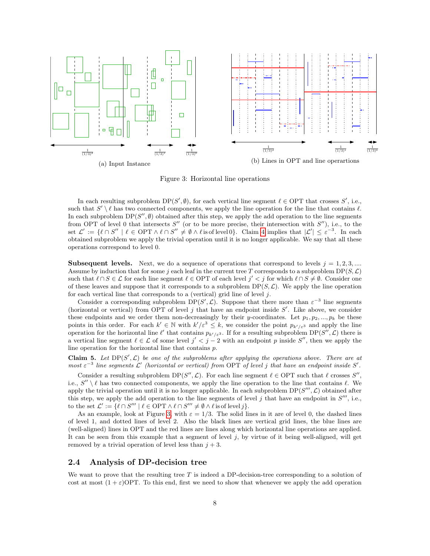<span id="page-7-0"></span>

Figure 3: Horizontal line operations

In each resulting subproblem  $DP(S', \emptyset)$ , for each vertical line segment  $\ell \in OPT$  that crosses S', i.e., such that  $S' \setminus \ell$  has two connected components, we apply the line operation for the line that contains  $\ell$ . In each subproblem  $DP(S'', \emptyset)$  obtained after this step, we apply the add operation to the line segments from OPT of level 0 that intersects  $S''$  (or to be more precise, their intersection with  $S''$ ), i.e., to the set  $\mathcal{L}' := \{ \ell \cap S'' \mid \ell \in \text{OPT} \land \ell \cap S'' \neq \emptyset \land \ell \text{ is of level } 0 \}.$  Claim [4](#page-6-0) implies that  $|\mathcal{L}'| \leq \varepsilon^{-3}$ . In each obtained subproblem we apply the trivial operation until it is no longer applicable. We say that all these operations correspond to level 0.

**Subsequent levels.** Next, we do a sequence of operations that correspond to levels  $j = 1, 2, 3, ...$ Assume by induction that for some j each leaf in the current tree T corresponds to a subproblem  $DP(S, \mathcal{L})$ such that  $\ell \cap S \in \mathcal{L}$  for each line segment  $\ell \in \text{OPT}$  of each level  $j' < j$  for which  $\ell \cap S \neq \emptyset$ . Consider one of these leaves and suppose that it corresponds to a subproblem  $DP(S, \mathcal{L})$ . We apply the line operation for each vertical line that corresponds to a (vertical) grid line of level  $j$ .

Consider a corresponding subproblem  $DP(S', \mathcal{L})$ . Suppose that there more than  $\varepsilon^{-3}$  line segments (horizontal or vertical) from OPT of level  $j$  that have an endpoint inside  $S'$ . Like above, we consider these endpoints and we order them non-decreasingly by their y-coordinates. Let  $p_1, p_2, ..., p_k$  be these points in this order. For each  $k' \in \mathbb{N}$  with  $k'/\varepsilon^3 \leq k$ , we consider the point  $p_{k'/\varepsilon^3}$  and apply the line operation for the horizontal line  $\ell'$  that contains  $p_{k'/\varepsilon^3}$ . If for a resulting subproblem DP(S'', L) there is a vertical line segment  $\ell \in \mathcal{L}$  of some level  $j' < j - 2$  with an endpoint p inside S'', then we apply the line operation for the horizontal line that contains p.

<span id="page-7-1"></span>Claim 5. Let  $DP(S', \mathcal{L})$  be one of the subproblems after applying the operations above. There are at most  $\varepsilon^{-3}$  line segments L' (horizontal or vertical) from OPT of level j that have an endpoint inside S'.

Consider a resulting subproblem  $DP(S'', \mathcal{L})$ . For each line segment  $\ell \in OPT$  such that  $\ell$  crosses  $S'',$ i.e.,  $S'' \setminus \ell$  has two connected components, we apply the line operation to the line that contains  $\ell$ . We apply the trivial operation until it is no longer applicable. In each subproblem  $DP(S''', \mathcal{L})$  obtained after this step, we apply the add operation to the line segments of level  $j$  that have an endpoint in  $S'''$ , i.e., to the set  $\mathcal{L}' := \{ \ell \cap S''' \mid \ell \in \text{OPT} \land \ell \cap S''' \neq \emptyset \land \ell \text{ is of level } j \}.$ 

As an example, look at Figure [3,](#page-7-0) with  $\varepsilon = 1/3$ . The solid lines in it are of level 0, the dashed lines of level 1, and dotted lines of level 2. Also the black lines are vertical grid lines, the blue lines are (well-aligned) lines in OPT and the red lines are lines along which horizontal line operations are applied. It can be seen from this example that a segment of level  $j$ , by virtue of it being well-aligned, will get removed by a trivial operation of level less than  $j + 3$ .

#### 2.4 Analysis of DP-decision tree

We want to prove that the resulting tree  $T$  is indeed a DP-decision-tree corresponding to a solution of cost at most  $(1 + \varepsilon)$ OPT. To this end, first we need to show that whenever we apply the add operation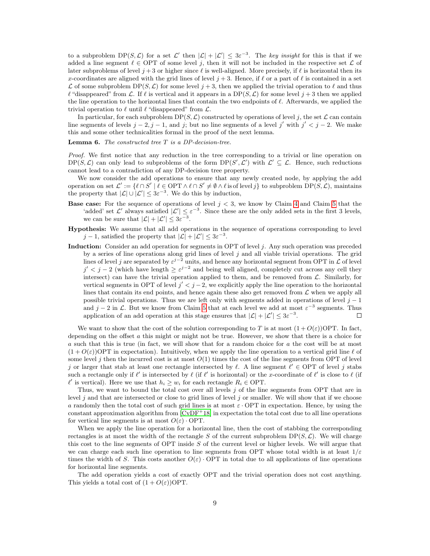to a subproblem  $DP(S, \mathcal{L})$  for a set  $\mathcal{L}'$  then  $|\mathcal{L}| + |\mathcal{L}'| \leq 3\varepsilon^{-3}$ . The key insight for this is that if we added a line segment  $\ell \in \text{OPT}$  of some level j, then it will not be included in the respective set  $\mathcal L$  of later subproblems of level  $j + 3$  or higher since  $\ell$  is well-aligned. More precisely, if  $\ell$  is horizontal then its x-coordinates are aligned with the grid lines of level  $j + 3$ . Hence, if  $\ell$  or a part of  $\ell$  is contained in a set  $\mathcal L$  of some subproblem DP(S,  $\mathcal L$ ) for some level  $j + 3$ , then we applied the trivial operation to  $\ell$  and thus  $\ell$  "disappeared" from  $\mathcal L$ . If  $\ell$  is vertical and it appears in a DP(S,  $\mathcal L$ ) for some level  $j + 3$  then we applied the line operation to the horizontal lines that contain the two endpoints of  $\ell$ . Afterwards, we applied the trivial operation to  $\ell$  until  $\ell$  "disappeared" from  $\mathcal{L}$ .

In particular, for each subproblem  $DP(S, \mathcal{L})$  constructed by operations of level j, the set  $\mathcal{L}$  can contain line segments of levels  $j-2, j-1$ , and j; but no line segments of a level j' with  $j' < j-2$ . We make this and some other technicalities formal in the proof of the next lemma.

**Lemma 6.** The constructed tree  $T$  is a DP-decision-tree.

Proof. We first notice that any reduction in the tree corresponding to a trivial or line operation on  $DP(S, \mathcal{L})$  can only lead to subproblems of the form  $DP(S', \mathcal{L}')$  with  $\mathcal{L}' \subseteq \mathcal{L}$ . Hence, such reductions cannot lead to a contradiction of any DP-decision tree property.

We now consider the add operations to ensure that any newly created node, by applying the add operation on set  $\mathcal{L}' := \{ \ell \cap S' \mid \ell \in \mathrm{OPT} \land \ell \cap S' \neq \emptyset \land \ell \text{ is of level } j \}$  to subproblem  $\mathrm{DP}(S, \mathcal{L})$ , maintains the property that  $|\mathcal{L}| \cup |\mathcal{L}'| \leq 3\varepsilon^{-3}$ . We do this by induction,

- **Base case:** For the sequence of operations of level  $j < 3$ , we know by Claim [4](#page-6-0) and Claim [5](#page-7-1) that the 'added' set  $\mathcal{L}'$  always satisfied  $|\mathcal{L}'| \leq \varepsilon^{-3}$ . Since these are the only added sets in the first 3 levels, we can be sure that  $|\mathcal{L}| + |\mathcal{L}'| \leq 3\varepsilon^{-3}$ .
- Hypothesis: We assume that all add operations in the sequence of operations corresponding to level  $j-1$ , satisfied the property that  $|\mathcal{L}| + |\mathcal{L}'| \leq 3\varepsilon^{-3}$ .
- Induction: Consider an add operation for segments in OPT of level  $j$ . Any such operation was preceded by a series of line operations along grid lines of level  $j$  and all viable trivial operations. The grid lines of level j are separated by  $\varepsilon^{j-2}$  units, and hence any horizontal segment from OPT in  $\mathcal L$  of level  $j' < j - 2$  (which have length  $\geq \varepsilon^{j-2}$  and being well aligned, completely cut across any cell they intersect) can have the trivial operation applied to them, and be removed from  $\mathcal{L}$ . Similarly, for vertical segments in OPT of level  $j' < j - 2$ , we explicitly apply the line operation to the horizontal lines that contain its end points, and hence again these also get removed from  $\mathcal L$  when we apply all possible trivial operations. Thus we are left only with segments added in operations of level  $j - 1$ and j – 2 in  $\mathcal{L}$ . But we know from Claim [5](#page-7-1) that at each level we add at most  $\varepsilon^{-3}$  segments. Thus application of an add operation at this stage ensures that  $|\mathcal{L}| + |\mathcal{L}'| \leq 3\varepsilon^{-3}$ .  $\Box$

We want to show that the cost of the solution corresponding to T is at most  $(1+O(\varepsilon))$ OPT. In fact, depending on the offset a this might or might not be true. However, we show that there is a choice for a such that this is true (in fact, we will show that for a random choice for a the cost will be at most  $(1 + O(\varepsilon))$ OPT in expectation). Intuitively, when we apply the line operation to a vertical grid line  $\ell$  of some level j then the incurred cost is at most  $O(1)$  times the cost of the line segments from OPT of level j or larger that stab at least one rectangle intersected by  $\ell$ . A line segment  $\ell' \in \text{OPT}$  of level j stabs such a rectangle only if  $\ell'$  is intersected by  $\ell$  (if  $\ell'$  is horizontal) or the x-coordinate of  $\ell'$  is close to  $\ell$  (if  $\ell'$  is vertical). Here we use that  $h_i \geq w_i$  for each rectangle  $R_i \in \text{OPT}$ .

Thus, we want to bound the total cost over all levels j of the line segments from OPT that are in level  $j$  and that are intersected or close to grid lines of level  $j$  or smaller. We will show that if we choose a randomly then the total cost of such grid lines is at most  $\varepsilon$  · OPT in expectation. Hence, by using the constant approximation algorithm from  $[CVDF<sup>+</sup>18]$  in expectation the total cost due to all line operations for vertical line segments is at most  $O(\varepsilon) \cdot \text{OPT}$ .

When we apply the line operation for a horizontal line, then the cost of stabbing the corresponding rectangles is at most the width of the rectangle S of the current subproblem  $DP(S, \mathcal{L})$ . We will charge this cost to the line segments of OPT inside S of the current level or higher levels. We will argue that we can charge each such line operation to line segments from OPT whose total width is at least  $1/\varepsilon$ times the width of S. This costs another  $O(\varepsilon)$ . OPT in total due to all applications of line operations for horizontal line segments.

The add operation yields a cost of exactly OPT and the trivial operation does not cost anything. This yields a total cost of  $(1 + O(\varepsilon))$ OPT.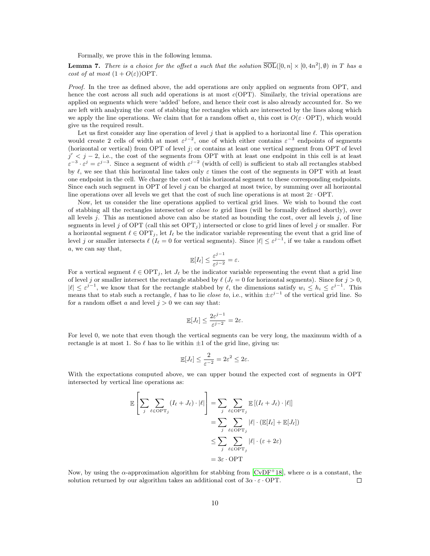Formally, we prove this in the following lemma.

<span id="page-9-0"></span>**Lemma 7.** There is a choice for the offset a such that the solution  $\overline{\text{SOL}}([0,n] \times [0, 4n^2], \emptyset)$  in T has a cost of at most  $(1 + O(\varepsilon))$ OPT.

Proof. In the tree as defined above, the add operations are only applied on segments from OPT, and hence the cost across all such add operations is at most  $c(OPT)$ . Similarly, the trivial operations are applied on segments which were 'added' before, and hence their cost is also already accounted for. So we are left with analyzing the cost of stabbing the rectangles which are intersected by the lines along which we apply the line operations. We claim that for a random offset a, this cost is  $O(\varepsilon \cdot OPT)$ , which would give us the required result.

Let us first consider any line operation of level j that is applied to a horizontal line  $\ell$ . This operation would create 2 cells of width at most  $\varepsilon^{j-2}$ , one of which either contains  $\varepsilon^{-3}$  endpoints of segments (horizontal or vertical) from OPT of level j; or contains at least one vertical segment from OPT of level  $j' < j - 2$ , i.e., the cost of the segments from OPT with at least one endpoint in this cell is at least  $\varepsilon^{-3} \cdot \varepsilon^j = \varepsilon^{j-3}$ . Since a segment of width  $\varepsilon^{j-2}$  (width of cell) is sufficient to stab all rectangles stabbed by  $\ell$ , we see that this horizontal line takes only  $\varepsilon$  times the cost of the segments in OPT with at least one endpoint in the cell. We charge the cost of this horizontal segment to these corresponding endpoints. Since each such segment in OPT of level  $j$  can be charged at most twice, by summing over all horizontal line operations over all levels we get that the cost of such line operations is at most  $2\varepsilon$ . OPT.

Now, let us consider the line operations applied to vertical grid lines. We wish to bound the cost of stabbing all the rectangles intersected or close to grid lines (will be formally defined shortly), over all levels  $j$ . This as mentioned above can also be stated as bounding the cost, over all levels  $j$ , of line segments in level j of OPT (call this set  $\text{OPT}_j$ ) intersected or close to grid lines of level j or smaller. For a horizontal segment  $\ell \in \text{OPT}_i$ , let  $I_\ell$  be the indicator variable representing the event that a grid line of level j or smaller intersects  $\ell$  ( $I_{\ell} = 0$  for vertical segments). Since  $|\ell| \leq \varepsilon^{j-1}$ , if we take a random offset a, we can say that,

$$
\mathbb{E}[I_{\ell}] \leq \frac{\varepsilon^{j-1}}{\varepsilon^{j-2}} = \varepsilon.
$$

For a vertical segment  $\ell \in \text{OPT}_i$ , let  $J_{\ell}$  be the indicator variable representing the event that a grid line of level j or smaller intersect the rectangle stabbed by  $\ell \ (J_\ell = 0$  for horizontal segments). Since for  $j > 0$ ,  $|\ell| \leq \varepsilon^{j-1}$ , we know that for the rectangle stabbed by  $\ell$ , the dimensions satisfy  $w_i \leq h_i \leq \varepsilon^{j-1}$ . This means that to stab such a rectangle,  $\ell$  has to lie *close to*, i.e., within  $\pm \varepsilon^{j-1}$  of the vertical grid line. So for a random offset a and level  $j > 0$  we can say that:

$$
\mathbb{E}[J_{\ell}] \le \frac{2\varepsilon^{j-1}}{\varepsilon^{j-2}} = 2\varepsilon.
$$

For level 0, we note that even though the vertical segments can be very long, the maximum width of a rectangle is at most 1. So  $\ell$  has to lie within  $\pm 1$  of the grid line, giving us:

$$
\mathbb{E}[J_{\ell}] \le \frac{2}{\varepsilon^{-2}} = 2\varepsilon^2 \le 2\varepsilon.
$$

With the expectations computed above, we can upper bound the expected cost of segments in OPT intersected by vertical line operations as:

$$
\mathbb{E}\left[\sum_{j}\sum_{\ell\in\text{OPT}_j}(I_{\ell}+J_{\ell})\cdot|\ell|\right]=\sum_{j}\sum_{\ell\in\text{OPT}_j}\mathbb{E}\left[(I_{\ell}+J_{\ell})\cdot|\ell|\right]
$$

$$
=\sum_{j}\sum_{\ell\in\text{OPT}_j}|\ell|\cdot(\mathbb{E}[I_{\ell}]+\mathbb{E}[J_{\ell}])
$$

$$
\leq\sum_{j}\sum_{\ell\in\text{OPT}_j}|\ell|\cdot(\varepsilon+2\varepsilon)
$$

$$
=3\varepsilon\cdot\text{OPT}
$$

Now, by using the  $\alpha$ -approximation algorithm for stabbing from [\[CvDF](#page-13-0)<sup>+18]</sup>, where  $\alpha$  is a constant, the solution returned by our algorithm takes an additional cost of  $3\alpha \cdot \varepsilon \cdot \text{OPT}$ .  $\Box$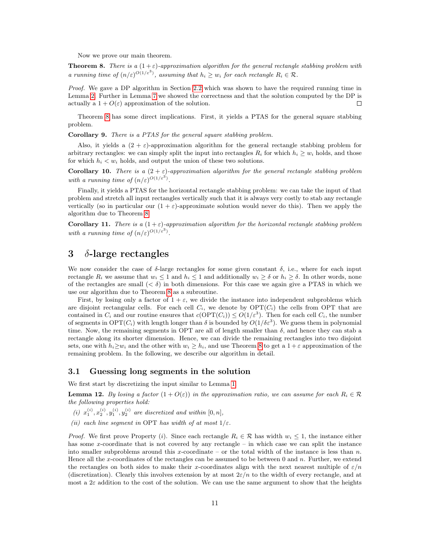Now we prove our main theorem.

<span id="page-10-0"></span>**Theorem 8.** There is a  $(1+\varepsilon)$ -approximation algorithm for the general rectangle stabbing problem with a running time of  $(n/\varepsilon)^{O(1/\varepsilon^3)}$ , assuming that  $h_i \geq w_i$  for each rectangle  $R_i \in \mathcal{R}$ .

Proof. We gave a DP algorithm in Section [2.2](#page-4-0) which was shown to have the required running time in Lemma [2.](#page-5-0) Further in Lemma [7](#page-9-0) we showed the correctness and that the solution computed by the DP is  $\Box$ actually a  $1 + O(\varepsilon)$  approximation of the solution.

Theorem [8](#page-10-0) has some direct implications. First, it yields a PTAS for the general square stabbing problem.

Corollary 9. There is a PTAS for the general square stabbing problem.

Also, it yields a  $(2 + \varepsilon)$ -approximation algorithm for the general rectangle stabbing problem for arbitrary rectangles: we can simply split the input into rectangles  $R_i$  for which  $h_i \geq w_i$  holds, and those for which  $h_i < w_i$  holds, and output the union of these two solutions.

**Corollary 10.** There is a  $(2 + \varepsilon)$ -approximation algorithm for the general rectangle stabbing problem with a running time of  $(n/\varepsilon)^{O(1/\varepsilon^3)}$ .

Finally, it yields a PTAS for the horizontal rectangle stabbing problem: we can take the input of that problem and stretch all input rectangles vertically such that it is always very costly to stab any rectangle vertically (so in particular our  $(1 + \varepsilon)$ -approximate solution would never do this). Then we apply the algorithm due to Theorem [8.](#page-10-0)

<span id="page-10-1"></span>**Corollary 11.** There is a  $(1+\varepsilon)$ -approximation algorithm for the horizontal rectangle stabbing problem with a running time of  $(n/\varepsilon)^{O(1/\varepsilon^3)}$ .

### 3  $\delta$ -large rectangles

We now consider the case of  $\delta$ -large rectangles for some given constant  $\delta$ , i.e., where for each input rectangle  $R_i$  we assume that  $w_i \leq 1$  and  $h_i \leq 1$  and additionally  $w_i \geq \delta$  or  $h_i \geq \delta$ . In other words, none of the rectangles are small  $( $\delta$ )$  in both dimensions. For this case we again give a PTAS in which we use our algorithm due to Theorem [8](#page-10-0) as a subroutine.

First, by losing only a factor of  $1 + \varepsilon$ , we divide the instance into independent subproblems which are disjoint rectangular cells. For each cell  $C_i$ , we denote by  $\text{OPT}(C_i)$  the cells from OPT that are contained in  $C_i$  and our routine ensures that  $c(OPT(C_i)) \leq O(1/\varepsilon^3)$ . Then for each cell  $C_i$ , the number of segments in  $\text{OPT}(C_i)$  with length longer than  $\delta$  is bounded by  $O(1/\delta \varepsilon^3)$ . We guess them in polynomial time. Now, the remaining segments in OPT are all of length smaller than  $\delta$ , and hence they can stab a rectangle along its shorter dimension. Hence, we can divide the remaining rectangles into two disjoint sets, one with  $h_i \geq w_i$  and the other with  $w_i \geq h_i$ , and use Theorem [8](#page-10-0) to get a  $1 + \varepsilon$  approximation of the remaining problem. In the following, we describe our algorithm in detail.

#### 3.1 Guessing long segments in the solution

We first start by discretizing the input similar to Lemma [1.](#page-3-0)

**Lemma 12.** By losing a factor  $(1 + O(\varepsilon))$  in the approximation ratio, we can assume for each  $R_i \in \mathcal{R}$ the following properties hold:

- (i)  $x_1^{(i)}, x_2^{(i)}, y_1^{(i)}, y_2^{(i)}$  are discretized and within  $[0, n]$ ,
- (ii) each line segment in OPT has width of at most  $1/\varepsilon$ .

*Proof.* We first prove Property (i). Since each rectangle  $R_i \in \mathcal{R}$  has width  $w_i \leq 1$ , the instance either has some x-coordinate that is not covered by any rectangle – in which case we can split the instance into smaller subproblems around this x-coordinate – or the total width of the instance is less than  $n$ . Hence all the x-coordinates of the rectangles can be assumed to be between 0 and  $n$ . Further, we extend the rectangles on both sides to make their x-coordinates align with the next nearest multiple of  $\varepsilon/n$ (discretization). Clearly this involves extension by at most  $2\varepsilon/n$  to the width of every rectangle, and at most a  $2\varepsilon$  addition to the cost of the solution. We can use the same argument to show that the heights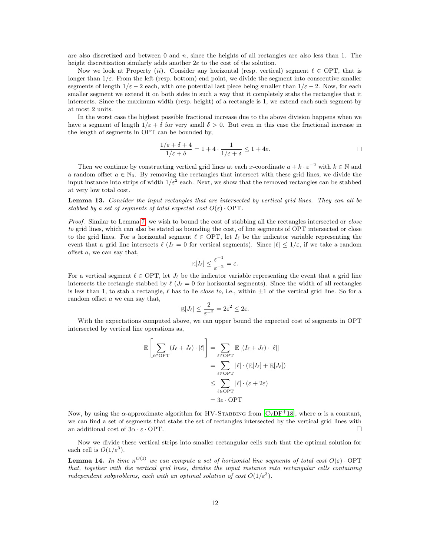are also discretized and between  $0$  and  $n$ , since the heights of all rectangles are also less than 1. The height discretization similarly adds another  $2\varepsilon$  to the cost of the solution.

Now we look at Property (ii). Consider any horizontal (resp. vertical) segment  $\ell \in \text{OPT}$ , that is longer than  $1/\varepsilon$ . From the left (resp. bottom) end point, we divide the segment into consecutive smaller segments of length  $1/\varepsilon - 2$  each, with one potential last piece being smaller than  $1/\varepsilon - 2$ . Now, for each smaller segment we extend it on both sides in such a way that it completely stabs the rectangles that it intersects. Since the maximum width (resp. height) of a rectangle is 1, we extend each such segment by at most 2 units.

In the worst case the highest possible fractional increase due to the above division happens when we have a segment of length  $1/\varepsilon + \delta$  for very small  $\delta > 0$ . But even in this case the fractional increase in the length of segments in OPT can be bounded by,

$$
\frac{1/\varepsilon + \delta + 4}{1/\varepsilon + \delta} = 1 + 4 \cdot \frac{1}{1/\varepsilon + \delta} \le 1 + 4\varepsilon.
$$

Then we continue by constructing vertical grid lines at each x-coordinate  $a + k \cdot \varepsilon^{-2}$  with  $k \in \mathbb{N}$  and a random offset  $a \in \mathbb{N}_0$ . By removing the rectangles that intersect with these grid lines, we divide the input instance into strips of width  $1/\varepsilon^2$  each. Next, we show that the removed rectangles can be stabbed at very low total cost.

Lemma 13. Consider the input rectangles that are intersected by vertical grid lines. They can all be stabbed by a set of segments of total expected cost  $O(\varepsilon) \cdot \text{OPT}$ .

Proof. Similar to Lemma [7,](#page-9-0) we wish to bound the cost of stabbing all the rectangles intersected or *close* to grid lines, which can also be stated as bounding the cost, of line segments of OPT intersected or close to the grid lines. For a horizontal segment  $\ell \in \text{OPT}$ , let  $I_\ell$  be the indicator variable representing the event that a grid line intersects  $\ell$  ( $I_\ell = 0$  for vertical segments). Since  $|\ell| \leq 1/\varepsilon$ , if we take a random offset a, we can say that,

$$
\mathop{\mathbb{E}}[I_{\ell}] \leq \frac{\varepsilon^{-1}}{\varepsilon^{-2}} = \varepsilon.
$$

For a vertical segment  $\ell \in \text{OPT}$ , let  $J_{\ell}$  be the indicator variable representing the event that a grid line intersects the rectangle stabbed by  $\ell$  ( $J_\ell = 0$  for horizontal segments). Since the width of all rectangles is less than 1, to stab a rectangle,  $\ell$  has to lie *close to*, i.e., within  $\pm 1$  of the vertical grid line. So for a random offset a we can say that,

$$
\mathbb{E}[J_{\ell}] \le \frac{2}{\varepsilon^{-2}} = 2\varepsilon^2 \le 2\varepsilon.
$$

With the expectations computed above, we can upper bound the expected cost of segments in OPT intersected by vertical line operations as,

$$
\mathbb{E}\left[\sum_{\ell \in \text{OPT}} (I_{\ell} + J_{\ell}) \cdot |\ell|\right] = \sum_{\ell \in \text{OPT}} \mathbb{E}\left[(I_{\ell} + J_{\ell}) \cdot |\ell|\right]
$$

$$
= \sum_{\ell \in \text{OPT}} |\ell| \cdot (\mathbb{E}[I_{\ell}] + \mathbb{E}[J_{\ell}])
$$

$$
\leq \sum_{\ell \in \text{OPT}} |\ell| \cdot (\varepsilon + 2\varepsilon)
$$

$$
= 3\varepsilon \cdot \text{OPT}
$$

Now, by using the  $\alpha$ -approximate algorithm for HV-STABBING from [\[CvDF](#page-13-0)<sup>+</sup>18], where  $\alpha$  is a constant, we can find a set of segments that stabs the set of rectangles intersected by the vertical grid lines with an additional cost of  $3\alpha \cdot \varepsilon \cdot \text{OPT}$ .  $\Box$ 

Now we divide these vertical strips into smaller rectangular cells such that the optimal solution for each cell is  $O(1/\varepsilon^3)$ .

**Lemma 14.** In time  $n^{O(1)}$  we can compute a set of horizontal line segments of total cost  $O(\varepsilon) \cdot \text{OPT}$ that, together with the vertical grid lines, divides the input instance into rectangular cells containing independent subproblems, each with an optimal solution of cost  $O(1/\varepsilon^3)$ .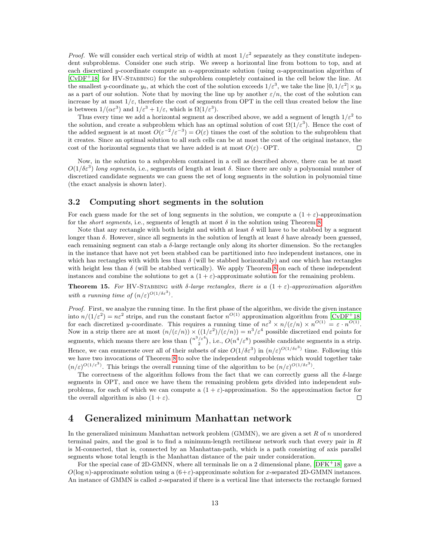*Proof.* We will consider each vertical strip of width at most  $1/\varepsilon^2$  separately as they constitute independent subproblems. Consider one such strip. We sweep a horizontal line from bottom to top, and at each discretized y-coordinate compute an  $\alpha$ -approximate solution (using  $\alpha$ -approximation algorithm of [\[CvDF](#page-13-0)<sup>+</sup>18] for HV-STABBING) for the subproblem completely contained in the cell below the line. At the smallest y-coordinate  $y_0$ , at which the cost of the solution exceeds  $1/\varepsilon^3$ , we take the line  $[0,1/\varepsilon^2] \times y_0$ as a part of our solution. Note that by moving the line up by another  $\varepsilon/n$ , the cost of the solution can increase by at most  $1/\varepsilon$ , therefore the cost of segments from OPT in the cell thus created below the line is between  $1/(\alpha \varepsilon^3)$  and  $1/\varepsilon^3 + 1/\varepsilon$ , which is  $\Omega(1/\varepsilon^3)$ .

Thus every time we add a horizontal segment as described above, we add a segment of length  $1/\varepsilon^2$  to the solution, and create a subproblem which has an optimal solution of cost  $\Omega(1/\varepsilon^3)$ . Hence the cost of the added segment is at most  $O(\varepsilon^{-2}/\varepsilon^{-3}) = O(\varepsilon)$  times the cost of the solution to the subproblem that it creates. Since an optimal solution to all such cells can be at most the cost of the original instance, the cost of the horizontal segments that we have added is at most  $O(\varepsilon) \cdot \text{OPT}$ .  $\Box$ 

Now, in the solution to a subproblem contained in a cell as described above, there can be at most  $O(1/\delta \varepsilon^3)$  long segments, i.e., segments of length at least  $\delta$ . Since there are only a polynomial number of discretized candidate segments we can guess the set of long segments in the solution in polynomial time (the exact analysis is shown later).

#### 3.2 Computing short segments in the solution

For each guess made for the set of long segments in the solution, we compute a  $(1 + \varepsilon)$ -approximation for the *short segments*, i.e., segments of length at most  $\delta$  in the solution using Theorem [8.](#page-10-0)

Note that any rectangle with both height and width at least  $\delta$  will have to be stabbed by a segment longer than  $\delta$ . However, since all segments in the solution of length at least  $\delta$  have already been guessed, each remaining segment can stab a δ-large rectangle only along its shorter dimension. So the rectangles in the instance that have not yet been stabbed can be partitioned into two independent instances, one in which has rectangles with width less than  $\delta$  (will be stabbed horizontally) and one which has rectangles with height less than  $\delta$  (will be stabbed vertically). We apply Theorem [8](#page-10-0) on each of these independent instances and combine the solutions to get a  $(1 + \varepsilon)$ -approximate solution for the remaining problem.

**Theorem 15.** For HV-STABBING with δ-large rectangles, there is a  $(1 + \varepsilon)$ -approximation algorithm with a running time of  $(n/\varepsilon)^{O(1/\delta\varepsilon^3)}$ .

Proof. First, we analyze the running time. In the first phase of the algorithm, we divide the given instance into  $n/(1/\varepsilon^2) = n\varepsilon^2$  strips, and run the constant factor  $n^{O(1)}$  approximation algorithm from  $\text{[CvDF}^+18]$  $\text{[CvDF}^+18]$  $\text{[CvDF}^+18]$ for each discretized y-coordinate. This requires a running time of  $n\varepsilon^2 \times n/(\varepsilon/n) \times n^{O(1)} = \varepsilon \cdot n^{O(1)}$ . Now in a strip there are at most  $(n/(\varepsilon/n)) \times ((1/\varepsilon^2)/(\varepsilon/n)) = n^3/\varepsilon^4$  possible discretized end points for segments, which means there are less than  $\binom{n^3/\varepsilon^4}{2}$ , i.e.,  $O(n^4/\varepsilon^8)$  possible candidate segments in a strip. Hence, we can enumerate over all of their subsets of size  $O(1/\delta \epsilon^3)$  in  $(n/\epsilon)^{O(1/\delta \epsilon^3)}$  time. Following this we have two invocations of Theorem [8](#page-10-0) to solve the independent subproblems which would together take  $(n/\varepsilon)^{O(1/\varepsilon^3)}$ . This brings the overall running time of the algorithm to be  $(n/\varepsilon)^{O(1/\delta\varepsilon^3)}$ .

The correctness of the algorithm follows from the fact that we can correctly guess all the  $\delta$ -large segments in OPT, and once we have them the remaining problem gets divided into independent subproblems, for each of which we can compute a  $(1 + \varepsilon)$ -approximation. So the approximation factor for the overall algorithm is also  $(1 + \varepsilon)$ .  $\Box$ 

# 4 Generalized minimum Manhattan network

In the generalized minimum Manhattan network problem (GMMN), we are given a set  $R$  of  $n$  unordered terminal pairs, and the goal is to find a minimum-length rectilinear network such that every pair in R is M-connected, that is, connected by an Manhattan-path, which is a path consisting of axis parallel segments whose total length is the Manhattan distance of the pair under consideration.

For the special case of 2D-GMNN, where all terminals lie on a 2 dimensional plane,  $[DFK^+18]$  $[DFK^+18]$  gave a  $O(\log n)$ -approximate solution using a  $(6+\varepsilon)$ -approximate solution for x-separated 2D-GMMN instances. An instance of GMMN is called x-separated if there is a vertical line that intersects the rectangle formed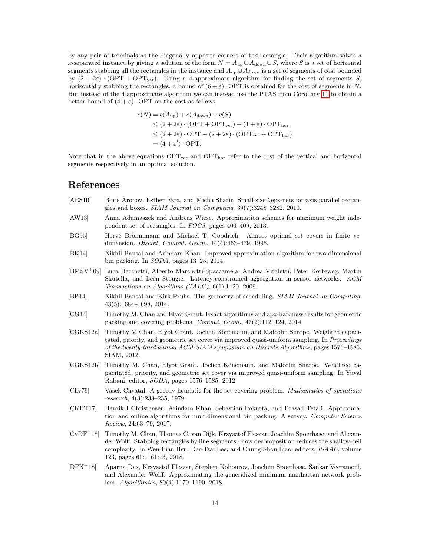by any pair of terminals as the diagonally opposite corners of the rectangle. Their algorithm solves a x-separated instance by giving a solution of the form  $N = A_{\text{up}} \cup A_{\text{down}} \cup S$ , where S is a set of horizontal segments stabbing all the rectangles in the instance and  $A_{\text{up}} \cup A_{\text{down}}$  is a set of segments of cost bounded by  $(2 + 2\varepsilon) \cdot (OPT + OPT_{ver})$ . Using a 4-approximate algorithm for finding the set of segments S, horizontally stabbing the rectangles, a bound of  $(6 + \varepsilon) \cdot \text{OPT}$  is obtained for the cost of segments in N. But instead of the 4-approximate algorithm we can instead use the PTAS from Corollary [11](#page-10-1) to obtain a better bound of  $(4 + \varepsilon) \cdot \text{OPT}$  on the cost as follows,

$$
c(N) = c(A_{\text{up}}) + c(A_{\text{down}}) + c(S)
$$
  
\n
$$
\leq (2 + 2\varepsilon) \cdot (\text{OPT} + \text{OPT}_{\text{ver}}) + (1 + \varepsilon) \cdot \text{OPT}_{\text{hor}}
$$
  
\n
$$
\leq (2 + 2\varepsilon) \cdot \text{OPT} + (2 + 2\varepsilon) \cdot (\text{OPT}_{\text{ver}} + \text{OPT}_{\text{hor}})
$$
  
\n
$$
= (4 + \varepsilon') \cdot \text{OPT}.
$$

Note that in the above equations  $\text{OPT}_{\text{ver}}$  and  $\text{OPT}_{\text{hor}}$  refer to the cost of the vertical and horizontal segments respectively in an optimal solution.

### References

- <span id="page-13-8"></span>[AES10] Boris Aronov, Esther Ezra, and Micha Sharir. Small-size \eps-nets for axis-parallel rectangles and boxes. SIAM Journal on Computing, 39(7):3248–3282, 2010.
- <span id="page-13-6"></span>[AW13] Anna Adamaszek and Andreas Wiese. Approximation schemes for maximum weight independent set of rectangles. In FOCS, pages 400–409, 2013.
- <span id="page-13-7"></span>[BG95] Hervé Brönnimann and Michael T. Goodrich. Almost optimal set covers in finite vcdimension. Discret. Comput. Geom., 14(4):463–479, 1995.
- <span id="page-13-12"></span>[BK14] Nikhil Bansal and Arindam Khan. Improved approximation algorithm for two-dimensional bin packing. In SODA, pages 13–25, 2014.
- <span id="page-13-1"></span>[BMSV<sup>+</sup>09] Luca Becchetti, Alberto Marchetti-Spaccamela, Andrea Vitaletti, Peter Korteweg, Martin Skutella, and Leen Stougie. Latency-constrained aggregation in sensor networks. ACM Transactions on Algorithms (TALG), 6(1):1–20, 2009.
- <span id="page-13-9"></span>[BP14] Nikhil Bansal and Kirk Pruhs. The geometry of scheduling. SIAM Journal on Computing, 43(5):1684–1698, 2014.
- <span id="page-13-10"></span>[CG14] Timothy M. Chan and Elyot Grant. Exact algorithms and apx-hardness results for geometric packing and covering problems. Comput. Geom., 47(2):112–124, 2014.
- <span id="page-13-5"></span>[CGKS12a] Timothy M Chan, Elyot Grant, Jochen Könemann, and Malcolm Sharpe. Weighted capacitated, priority, and geometric set cover via improved quasi-uniform sampling. In Proceedings of the twenty-third annual ACM-SIAM symposium on Discrete Algorithms, pages 1576–1585. SIAM, 2012.
- <span id="page-13-4"></span>[CGKS12b] Timothy M. Chan, Elyot Grant, Jochen Könemann, and Malcolm Sharpe. Weighted capacitated, priority, and geometric set cover via improved quasi-uniform sampling. In Yuval Rabani, editor, SODA, pages 1576–1585, 2012.
- <span id="page-13-3"></span>[Chv79] Vasek Chvatal. A greedy heuristic for the set-covering problem. Mathematics of operations research, 4(3):233–235, 1979.
- <span id="page-13-11"></span>[CKPT17] Henrik I Christensen, Arindam Khan, Sebastian Pokutta, and Prasad Tetali. Approximation and online algorithms for multidimensional bin packing: A survey. Computer Science Review, 24:63–79, 2017.
- <span id="page-13-0"></span>[CvDF<sup>+</sup>18] Timothy M. Chan, Thomas C. van Dijk, Krzysztof Fleszar, Joachim Spoerhase, and Alexander Wolff. Stabbing rectangles by line segments - how decomposition reduces the shallow-cell complexity. In Wen-Lian Hsu, Der-Tsai Lee, and Chung-Shou Liao, editors, ISAAC, volume 123, pages 61:1–61:13, 2018.
- <span id="page-13-2"></span>[DFK<sup>+</sup>18] Aparna Das, Krzysztof Fleszar, Stephen Kobourov, Joachim Spoerhase, Sankar Veeramoni, and Alexander Wolff. Approximating the generalized minimum manhattan network problem. Algorithmica, 80(4):1170–1190, 2018.